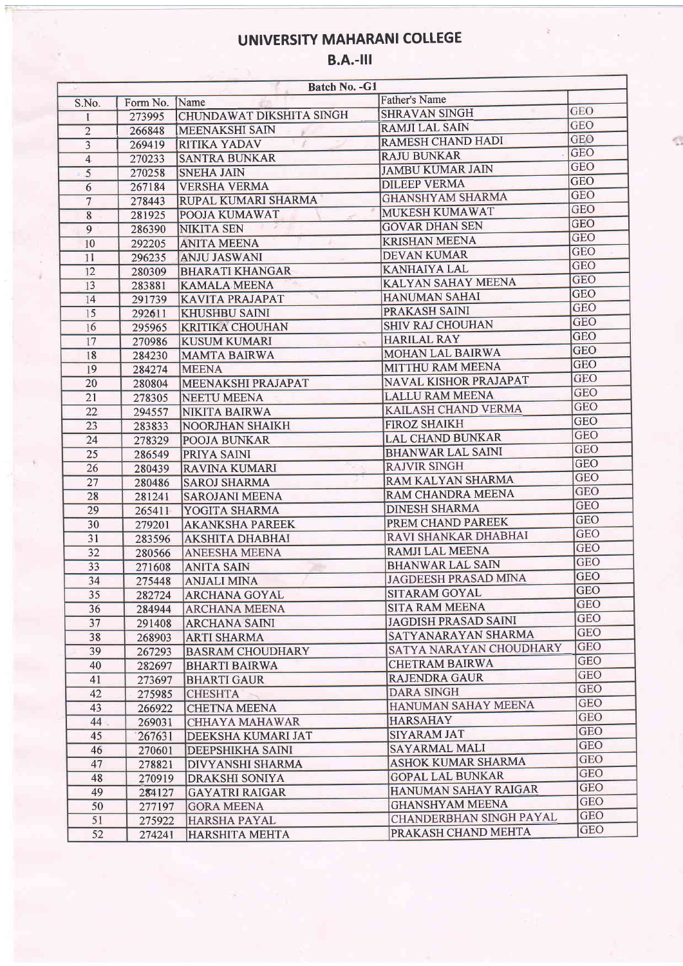# UNIVERSITY MAHARANI COLLEGE

#### B.A.-lll

| Batch No. - G1  |          |                          |                             |            |  |  |
|-----------------|----------|--------------------------|-----------------------------|------------|--|--|
| S.No.           | Form No. | Name                     | <b>Father's Name</b>        |            |  |  |
| 1               | 273995   | CHUNDAWAT DIKSHITA SINGH | <b>SHRAVAN SINGH</b>        | <b>GEO</b> |  |  |
| $\overline{2}$  | 266848   | <b>MEENAKSHI SAIN</b>    | <b>RAMJI LAL SAIN</b>       | GEO        |  |  |
| $\overline{3}$  | 269419   | <b>RITIKA YADAV</b>      | <b>RAMESH CHAND HADI</b>    | <b>GEO</b> |  |  |
| $\overline{4}$  | 270233   | <b>SANTRA BUNKAR</b>     | <b>RAJU BUNKAR</b>          | <b>GEO</b> |  |  |
| 5               | 270258   | <b>SNEHA JAIN</b>        | <b>JAMBU KUMAR JAIN</b>     | <b>GEO</b> |  |  |
| $6\overline{6}$ | 267184   | <b>VERSHA VERMA</b>      | <b>DILEEP VERMA</b>         | <b>GEO</b> |  |  |
| $\overline{7}$  | 278443   | RUPAL KUMARI SHARMA      | <b>GHANSHYAM SHARMA</b>     | <b>GEO</b> |  |  |
| $\overline{8}$  | 281925   | <b>POOJA KUMAWAT</b>     | MUKESH KUMAWAT              | <b>GEO</b> |  |  |
| $\overline{9}$  | 286390   | NIKITA SEN               | <b>GOVAR DHAN SEN</b>       | <b>GEO</b> |  |  |
| 10              | 292205   | <b>ANITA MEENA</b>       | <b>KRISHAN MEENA</b>        | <b>GEO</b> |  |  |
| 11              | 296235   | <b>ANJU JASWANI</b>      | <b>DEVAN KUMAR</b>          | <b>GEO</b> |  |  |
| 12              | 280309   | <b>BHARATI KHANGAR</b>   | <b>KANHAIYA LAL</b>         | <b>GEO</b> |  |  |
| 13              |          | <b>KAMALA MEENA</b>      | <b>KALYAN SAHAY MEENA</b>   | <b>GEO</b> |  |  |
|                 | 283881   |                          | <b>HANUMAN SAHAI</b>        | <b>GEO</b> |  |  |
| 14              | 291739   | <b>KAVITA PRAJAPAT</b>   | PRAKASH SAINI               | <b>GEO</b> |  |  |
| 15              | 292611   | <b>KHUSHBU SAINI</b>     | SHIV RAJ CHOUHAN            | <b>GEO</b> |  |  |
| 16              | 295965   | <b>KRITIKA CHOUHAN</b>   | <b>HARILAL RAY</b>          | <b>GEO</b> |  |  |
| 17              | 270986   | <b>KUSUM KUMARI</b>      | MOHAN LAL BAIRWA            | <b>GEO</b> |  |  |
| 18              | 284230   | MAMTA BAIRWA             |                             | <b>GEO</b> |  |  |
| 19              | 284274   | <b>MEENA</b>             | MITTHU RAM MEENA            | <b>GEO</b> |  |  |
| 20              | 280804   | MEENAKSHI PRAJAPAT       | NAVAL KISHOR PRAJAPAT       | <b>GEO</b> |  |  |
| 21              | 278305   | <b>NEETU MEENA</b>       | <b>LALLU RAM MEENA</b>      | <b>GEO</b> |  |  |
| 22              | 294557   | NIKITA BAIRWA            | KAILASH CHAND VERMA         | <b>GEO</b> |  |  |
| 23              | 283833   | <b>NOORJHAN SHAIKH</b>   | <b>FIROZ SHAIKH</b>         |            |  |  |
| 24              | 278329   | <b>POOJA BUNKAR</b>      | <b>LAL CHAND BUNKAR</b>     | <b>GEO</b> |  |  |
| 25              | 286549   | <b>PRIYA SAINI</b>       | <b>BHANWAR LAL SAINI</b>    | <b>GEO</b> |  |  |
| 26              | 280439   | RAVINA KUMARI            | <b>RAJVIR SINGH</b>         | <b>GEO</b> |  |  |
| 27              | 280486   | <b>SAROJ SHARMA</b>      | RAM KALYAN SHARMA           | <b>GEO</b> |  |  |
| 28              | 281241   | <b>SAROJANI MEENA</b>    | RAM CHANDRA MEENA           | <b>GEO</b> |  |  |
| 29              | 265411   | YOGITA SHARMA            | <b>DINESH SHARMA</b>        | <b>GEO</b> |  |  |
| 30              | 279201   | <b>AKANKSHA PAREEK</b>   | PREM CHAND PAREEK           | <b>GEO</b> |  |  |
| 31              | 283596   | <b>AKSHITA DHABHAI</b>   | RAVI SHANKAR DHABHAI        | <b>GEO</b> |  |  |
| 32              | 280566   | <b>ANEESHA MEENA</b>     | <b>RAMJI LAL MEENA</b>      | <b>GEO</b> |  |  |
| 33              | 271608   | <b>ANITA SAIN</b>        | <b>BHANWAR LAL SAIN</b>     | <b>GEO</b> |  |  |
| 34              | 275448   | <b>ANJALI MINA</b>       | <b>JAGDEESH PRASAD MINA</b> | <b>GEO</b> |  |  |
| 35              | 282724   | <b>ARCHANA GOYAL</b>     | SITARAM GOYAL               | <b>GEO</b> |  |  |
| 36              | 284944   | <b>ARCHANA MEENA</b>     | <b>SITA RAM MEENA</b>       | <b>GEO</b> |  |  |
| 37              | 291408   | <b>ARCHANA SAINI</b>     | <b>JAGDISH PRASAD SAINI</b> | <b>GEO</b> |  |  |
| 38              | 268903   | <b>ARTI SHARMA</b>       | SATYANARAYAN SHARMA         | <b>GEO</b> |  |  |
| 39              | 267293   | <b>BASRAM CHOUDHARY</b>  | SATYA NARAYAN CHOUDHARY     | <b>GEO</b> |  |  |
| 40              | 282697   | <b>BHARTI BAIRWA</b>     | <b>CHETRAM BAIRWA</b>       | <b>GEO</b> |  |  |
| 41              | 273697   | <b>BHARTI GAUR</b>       | <b>RAJENDRA GAUR</b>        | <b>GEO</b> |  |  |
| 42              | 275985   | <b>CHESHTA</b>           | <b>DARA SINGH</b>           | <b>GEO</b> |  |  |
| 43              |          | <b>CHETNA MEENA</b>      | HANUMAN SAHAY MEENA         | <b>GEO</b> |  |  |
| 44              | 266922   |                          | <b>HARSAHAY</b>             | <b>GEO</b> |  |  |
| 45              | 269031   | CHHAYA MAHAWAR           | <b>SIYARAM JAT</b>          | <b>GEO</b> |  |  |
|                 | 267631   | DEEKSHA KUMARI JAT       | <b>SAYARMAL MALI</b>        | <b>GEO</b> |  |  |
| 46              | 270601   | DEEPSHIKHA SAINI         | <b>ASHOK KUMAR SHARMA</b>   | <b>GEO</b> |  |  |
| 47              | 278821   | DIVYANSHI SHARMA         |                             | <b>GEO</b> |  |  |
| 48              | 270919   | DRAKSHI SONIYA           | <b>GOPAL LAL BUNKAR</b>     | <b>GEO</b> |  |  |
| 49              | 284127   | <b>GAYATRI RAIGAR</b>    | HANUMAN SAHAY RAIGAR        | <b>GEO</b> |  |  |
| 50              | 277197   | <b>GORA MEENA</b>        | <b>GHANSHYAM MEENA</b>      | <b>GEO</b> |  |  |
| 51              | 275922   | <b>HARSHA PAYAL</b>      | CHANDERBHAN SINGH PAYAL     | <b>GEO</b> |  |  |
| 52              | 274241   | <b>HARSHITA MEHTA</b>    | PRAKASH CHAND MEHTA         |            |  |  |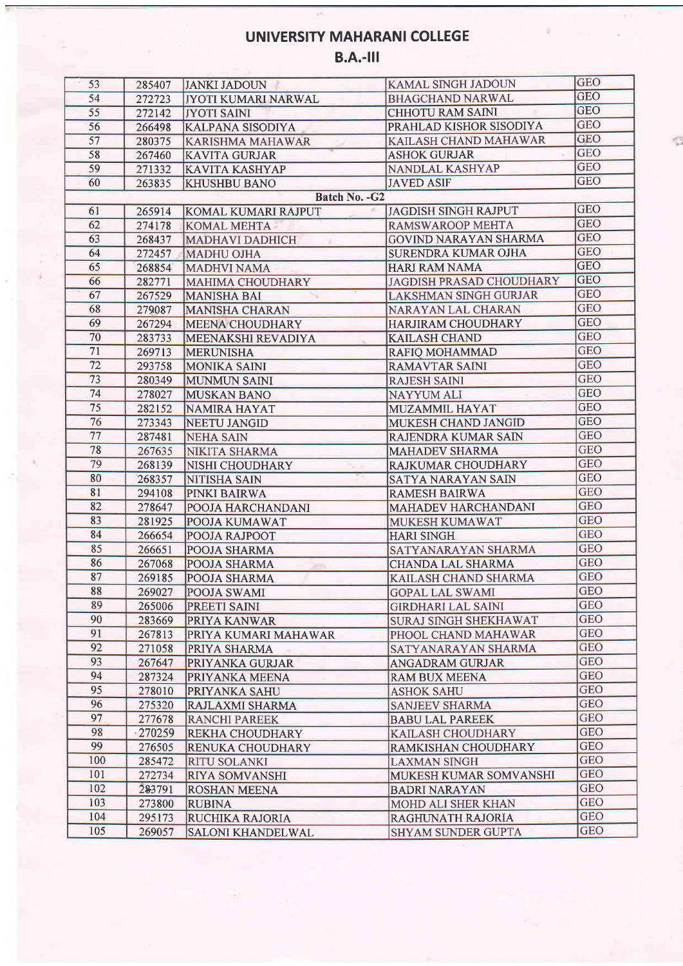## UNIVERSITY MAHARANI COLLEGE

## $B.A.-III$

| 53  | 285407    | JANKI JADOUN               | <b>KAMAL SINGH JADOUN</b>                          | <b>GEO</b> |
|-----|-----------|----------------------------|----------------------------------------------------|------------|
| 54  | 272723    | <b>JYOTI KUMARI NARWAL</b> | BHAGCHAND NARWAL                                   | <b>GEO</b> |
| 55  | 272142    | <b>JYOTI SAINI</b>         | <b>CHHOTU RAM SAINI</b>                            | <b>GEO</b> |
| 56  | 266498    | <b>KALPANA SISODIYA</b>    | PRAHLAD KISHOR SISODIYA                            | <b>GEO</b> |
| 57  | 280375    | <b>KARISHMA MAHAWAR</b>    | KAILASH CHAND MAHAWAR                              | <b>GEO</b> |
| 58  | 267460    | <b>KAVITA GURJAR</b>       | <b>ASHOK GURJAR</b>                                | <b>GEO</b> |
| 59  | 271332    | <b>KAVITA KASHYAP</b>      | NANDLAL KASHYAP                                    | <b>GEO</b> |
| 60  | 263835    | <b>KHUSHBU BANO</b>        | <b>JAVED ASIF</b>                                  | <b>GEO</b> |
|     |           | Batch No. - G2             |                                                    |            |
| 61  | 265914    | <b>KOMAL KUMARI RAJPUT</b> | <b>JAGDISH SINGH RAJPUT</b>                        | <b>GEO</b> |
| 62  | 274178    | <b>KOMAL MEHTA</b>         | <b>RAMSWAROOP MEHTA</b>                            | <b>GEO</b> |
| 63  | 268437    | <b>MADHAVI DADHICH</b>     | <b>GOVIND NARAYAN SHARMA</b>                       | <b>GEO</b> |
| 64  | 272457    | <b>MADHU OJHA</b>          | <b>SURENDRA KUMAR OJHA</b>                         | <b>GEO</b> |
| 65  | 268854    | <b>MADHVI NAMA</b>         | <b>HARI RAM NAMA</b>                               | <b>GEO</b> |
| 66  | 282771    | MAHIMA CHOUDHARY           | <b>JAGDISH PRASAD CHOUDHARY</b>                    | <b>GEO</b> |
| 67  | 267529    | <b>MANISHA BAI</b>         | <b>LAKSHMAN SINGH GURJAR</b>                       | <b>GEO</b> |
| 68  | 279087    | <b>MANISHA CHARAN</b>      | <b>NARAYAN LAL CHARAN</b>                          | <b>GEO</b> |
| 69  | 267294    | <b>MEENA CHOUDHARY</b>     | <b>HARJIRAM CHOUDHARY</b>                          | <b>GEO</b> |
| 70  | 283733    | MEENAKSHI REVADIYA         | <b>KAILASH CHAND</b>                               | <b>GEO</b> |
| 71  | 269713    | <b>MERUNISHA</b>           | RAFIO MOHAMMAD                                     | <b>GEO</b> |
| 72  | 293758    | <b>MONIKA SAINI</b>        | <b>RAMAVTAR SAINI</b>                              | <b>GEO</b> |
| 73  | 280349    | <b>MUNMUN SAINI</b>        | <b>RAJESH SAINI</b>                                | <b>GEO</b> |
| 74  | 278027    | <b>MUSKAN BANO</b>         | <b>NAYYUM ALI</b>                                  | <b>GEO</b> |
| 75  | 282152    | NAMIRA HAYAT               | <b>MUZAMMIL HAYAT</b>                              | <b>GEO</b> |
| 76  | 273343    | NEETU JANGID               | MUKESH CHAND JANGID                                | <b>GEO</b> |
| 77  | 287481    | <b>NEHA SAIN</b>           | RAJENDRA KUMAR SAIN                                | <b>GEO</b> |
| 78  | 267635    |                            | <b>MAHADEV SHARMA</b>                              | <b>GEO</b> |
| 79  | 268139    | NIKITA SHARMA              | <b>RAJKUMAR CHOUDHARY</b>                          | <b>GEO</b> |
| 80  | 268357    | NISHI CHOUDHARY            | <b>SATYA NARAYAN SAIN</b>                          | <b>GEO</b> |
| 81  | 294108    | NITISHA SAIN               |                                                    | <b>GEO</b> |
| 82  | 278647    | <b>PINKI BAIRWA</b>        | <b>RAMESH BAIRWA</b><br><b>MAHADEV HARCHANDANI</b> | <b>GEO</b> |
| 83  | 281925    | POOJA HARCHANDANI          | MUKESH KUMAWAT                                     | <b>GEO</b> |
| 84  |           | POOJA KUMAWAT              |                                                    | <b>GEO</b> |
| 85  | 266654    | POOJA RAJPOOT              | <b>HARI SINGH</b>                                  | <b>GEO</b> |
| 86  | 266651    | POOJA SHARMA               | SATYANARAYAN SHARMA                                | <b>GEO</b> |
| 87  | 267068    | <b>POOJA SHARMA</b>        | <b>CHANDA LAL SHARMA</b>                           | <b>GEO</b> |
| 88  | 269185    | <b>POOJA SHARMA</b>        | KAILASH CHAND SHARMA                               | GEO        |
| 89  |           | 269027 POOJA SWAMI         | <b>GOPAL LAL SWAMI</b>                             | <b>GEO</b> |
| 90  | 265006    | <b>PREETI SAINI</b>        | <b>GIRDHARI LAL SAINI</b>                          | <b>GEO</b> |
|     | 283669    | PRIYA KANWAR               | <b>SURAJ SINGH SHEKHAWAT</b>                       |            |
| 91  | 267813    | PRIYA KUMARI MAHAWAR       | PHOOL CHAND MAHAWAR                                | <b>GEO</b> |
| 92  | 271058    | PRIYA SHARMA               | SATYANARAYAN SHARMA                                | <b>GEO</b> |
| 93  | 267647    | PRIYANKA GURJAR            | ANGADRAM GURJAR                                    | <b>GEO</b> |
| 94  | 287324    | PRIYANKA MEENA             | <b>RAM BUX MEENA</b>                               | <b>GEO</b> |
| 95  | 278010    | PRIYANKA SAHU              | <b>ASHOK SAHU</b>                                  | <b>GEO</b> |
| 96  | 275320    | RAJLAXMI SHARMA            | <b>SANJEEV SHARMA</b>                              | <b>GEO</b> |
| 97  | 277678    | <b>RANCHI PAREEK</b>       | <b>BABU LAL PAREEK</b>                             | <b>GEO</b> |
| 98  | $-270259$ | REKHA CHOUDHARY            | KAILASH CHOUDHARY                                  | <b>GEO</b> |
| 99  | 276505    | RENUKA CHOUDHARY           | RAMKISHAN CHOUDHARY                                | <b>GEO</b> |
| 100 | 285472    | <b>RITU SOLANKI</b>        | <b>LAXMAN SINGH</b>                                | <b>GEO</b> |
| 101 | 272734    | <b>RIYA SOMVANSHI</b>      | MUKESH KUMAR SOMVANSHI                             | <b>GEO</b> |
| 102 | 283791    | <b>ROSHAN MEENA</b>        | <b>BADRI NARAYAN</b>                               | <b>GEO</b> |
| 103 | 273800    | <b>RUBINA</b>              | MOHD ALI SHER KHAN                                 | <b>GEO</b> |
| 104 | 295173    | RUCHIKA RAJORIA            | RAGHUNATH RAJORIA                                  | <b>GEO</b> |
| 105 | 269057    | <b>SALONI KHANDELWAL</b>   | <b>SHYAM SUNDER GUPTA</b>                          | <b>GEO</b> |